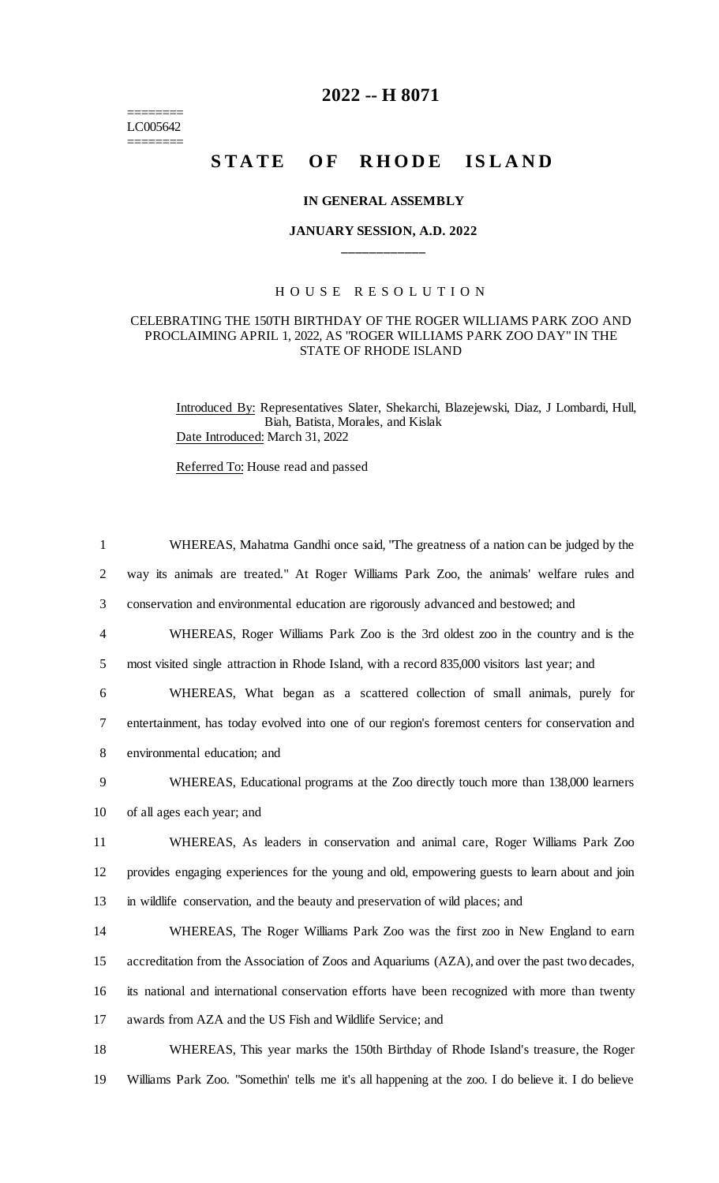$=$ LC005642 ========

# **2022 -- H 8071**

# STATE OF RHODE ISLAND

#### **IN GENERAL ASSEMBLY**

## **JANUARY SESSION, A.D. 2022 \_\_\_\_\_\_\_\_\_\_\_\_**

### H O U S E R E S O L U T I O N

#### CELEBRATING THE 150TH BIRTHDAY OF THE ROGER WILLIAMS PARK ZOO AND PROCLAIMING APRIL 1, 2022, AS "ROGER WILLIAMS PARK ZOO DAY" IN THE STATE OF RHODE ISLAND

Introduced By: Representatives Slater, Shekarchi, Blazejewski, Diaz, J Lombardi, Hull, Biah, Batista, Morales, and Kislak Date Introduced: March 31, 2022

Referred To: House read and passed

| $\mathbf{1}$   | WHEREAS, Mahatma Gandhi once said, "The greatness of a nation can be judged by the              |
|----------------|-------------------------------------------------------------------------------------------------|
| 2              | way its animals are treated." At Roger Williams Park Zoo, the animals' welfare rules and        |
| 3              | conservation and environmental education are rigorously advanced and bestowed; and              |
| $\overline{4}$ | WHEREAS, Roger Williams Park Zoo is the 3rd oldest zoo in the country and is the                |
| 5              | most visited single attraction in Rhode Island, with a record 835,000 visitors last year; and   |
| 6              | WHEREAS, What began as a scattered collection of small animals, purely for                      |
| $\tau$         | entertainment, has today evolved into one of our region's foremost centers for conservation and |
| 8              | environmental education; and                                                                    |
| 9              | WHEREAS, Educational programs at the Zoo directly touch more than 138,000 learners              |
| 10             | of all ages each year; and                                                                      |
| 11             | WHEREAS, As leaders in conservation and animal care, Roger Williams Park Zoo                    |
| 12             | provides engaging experiences for the young and old, empowering guests to learn about and join  |
| 13             | in wildlife conservation, and the beauty and preservation of wild places; and                   |
| 14             | WHEREAS, The Roger Williams Park Zoo was the first zoo in New England to earn                   |
| 15             | accreditation from the Association of Zoos and Aquariums (AZA), and over the past two decades,  |
| 16             | its national and international conservation efforts have been recognized with more than twenty  |
| 17             | awards from AZA and the US Fish and Wildlife Service; and                                       |
| 18             | WHEREAS, This year marks the 150th Birthday of Rhode Island's treasure, the Roger               |
|                |                                                                                                 |

19 Williams Park Zoo. "Somethin' tells me it's all happening at the zoo. I do believe it. I do believe